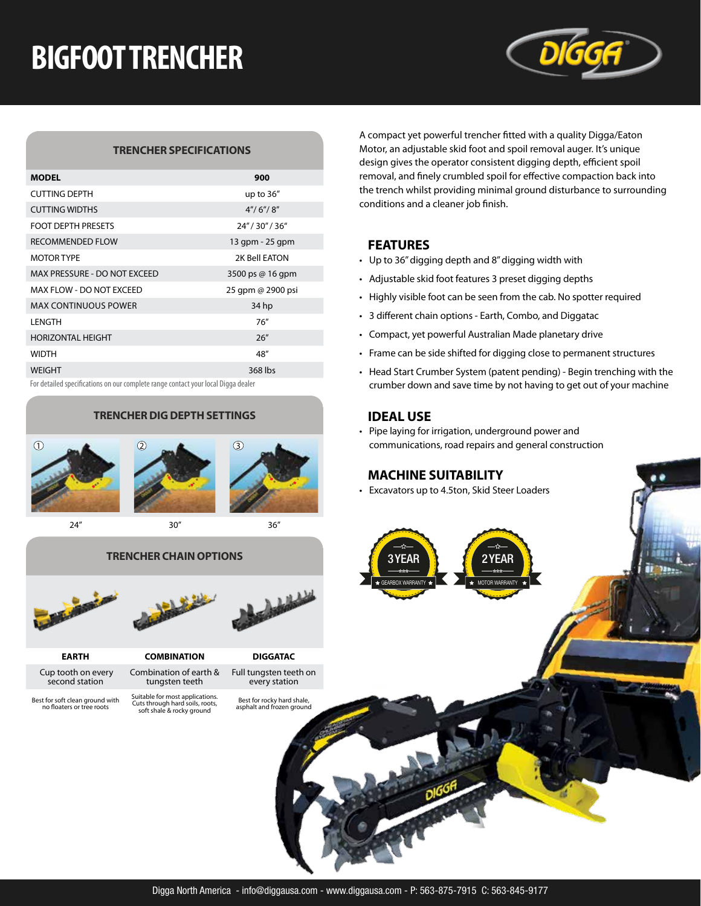# **BIGFOOT TRENCHER**



#### **TRENCHER SPECIFICATIONS**

| <b>MODEL</b>                 | 900               |
|------------------------------|-------------------|
| <b>CUTTING DEPTH</b>         | up to $36''$      |
| <b>CUTTING WIDTHS</b>        | 4''/6''/8''       |
| <b>FOOT DEPTH PRESETS</b>    | 24" / 30" / 36"   |
| <b>RECOMMENDED FLOW</b>      | 13 gpm - 25 gpm   |
| <b>MOTOR TYPE</b>            | 2K Bell EATON     |
| MAX PRESSURE - DO NOT EXCEED | 3500 ps @ 16 qpm  |
| MAX FLOW - DO NOT EXCEED     | 25 gpm @ 2900 psi |
| <b>MAX CONTINUOUS POWER</b>  | 34 hp             |
| LENGTH                       | 76''              |
| <b>HORIZONTAL HEIGHT</b>     | 26''              |
| <b>WIDTH</b>                 | 48"               |
| <b>WEIGHT</b>                | 368 lbs           |

#### **TRENCHER DIG DEPTH SETTINGS**





24" 30" 36"

Full tungsten teeth on every station

Best for rocky hard shale, asphalt and frozen ground

### **TRENCHER CHAIN OPTIONS** 2YEAR





- **EARTH COMBINATION DIGGATAC** Cup tooth on every
	- second station Combination of earth & tungsten teeth Suitable for most applications. Cuts through hard soils, roots, soft shale & rocky ground

Best for soft clean ground with no floaters or tree roots

A compact yet powerful trencher fitted with a quality Digga/Eaton Motor, an adjustable skid foot and spoil removal auger. It's unique design gives the operator consistent digging depth, efficient spoil removal, and finely crumbled spoil for effective compaction back into the trench whilst providing minimal ground disturbance to surrounding conditions and a cleaner job finish.

#### **FEATURES**

- Up to 36" digging depth and 8" digging width with
- Adjustable skid foot features 3 preset digging depths
- Highly visible foot can be seen from the cab. No spotter required
- 3 different chain options Earth, Combo, and Diggatac
- Compact, yet powerful Australian Made planetary drive
- Frame can be side shifted for digging close to permanent structures
- Head Start Crumber System (patent pending) Begin trenching with the For detailed specifications on our complete range contact your local Digga dealer crumber down and save time by not having to get out of your machine

#### **IDEAL USE**

GEARBOX WARRANTY

3YEAR

• Pipe laying for irrigation, underground power and communications, road repairs and general construction

MOTOR WARRANTY

### **MACHINE SUITABILITY**

• Excavators up to 4.5ton, Skid Steer Loaders